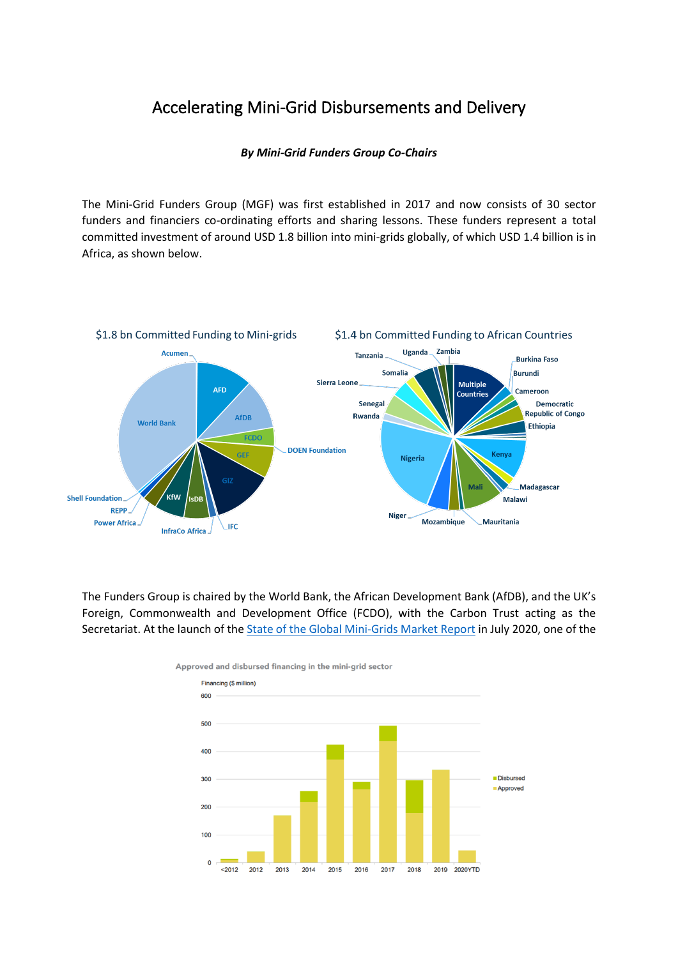#### Accelerating Mini-Grid Disbursements and Delivery

#### *By Mini-Grid Funders Group Co-Chairs*

The Mini-Grid Funders Group (MGF) was first established in 2017 and now consists of 30 sector funders and financiers co-ordinating efforts and sharing lessons. These funders represent a total committed investment of around USD 1.8 billion into mini-grids globally, of which USD 1.4 billion is in Africa, as shown below.



The Funders Group is chaired by the World Bank, the African Development Bank (AfDB), and the UK's Foreign, Commonwealth and Development Office (FCDO), with the Carbon Trust acting as the Secretariat. At the launch of the **State of the Global Mini-Grids [Market Report](https://www.seforall.org/publications/state-of-the-global-mini-grids-market-report-2020) in July 2020**, one of the

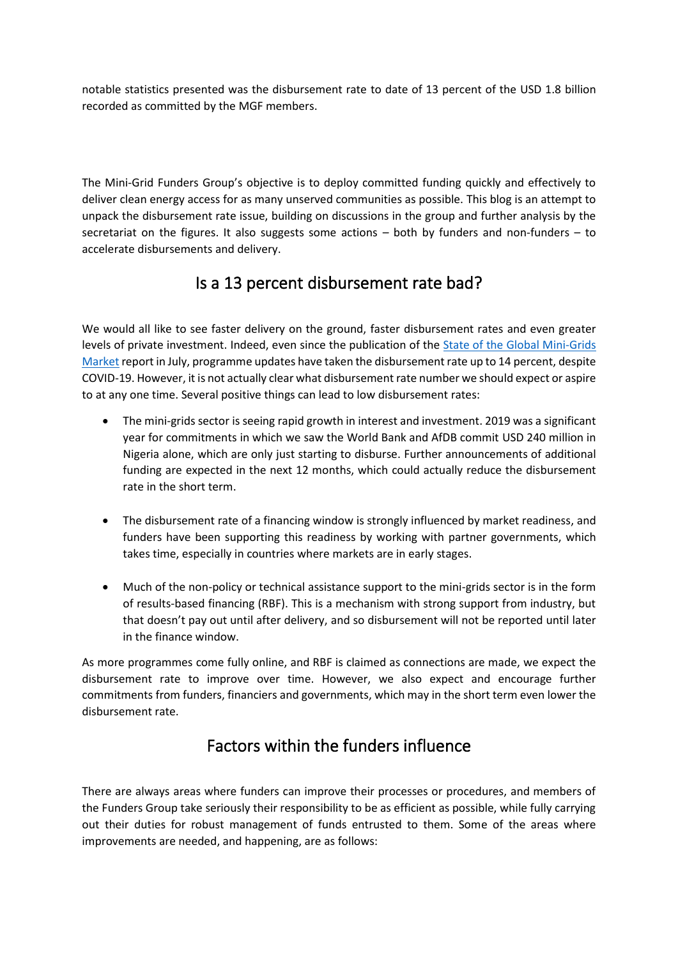notable statistics presented was the disbursement rate to date of 13 percent of the USD 1.8 billion recorded as committed by the MGF members.

The Mini-Grid Funders Group's objective is to deploy committed funding quickly and effectively to deliver clean energy access for as many unserved communities as possible. This blog is an attempt to unpack the disbursement rate issue, building on discussions in the group and further analysis by the secretariat on the figures. It also suggests some actions – both by funders and non-funders – to accelerate disbursements and delivery.

## Is a 13 percent disbursement rate bad?

We would all like to see faster delivery on the ground, faster disbursement rates and even greater levels of private investment. Indeed, even since the publication of the State of the [Global Mini-Grids](https://minigrids.org/market-report-2020/) [Market](https://minigrids.org/market-report-2020/) report in July, programme updates have taken the disbursement rate up to 14 percent, despite COVID-19. However, it is not actually clear what disbursement rate number we should expect or aspire to at any one time. Several positive things can lead to low disbursement rates:

- The mini-grids sector is seeing rapid growth in interest and investment. 2019 was a significant year for commitments in which we saw the World Bank and AfDB commit USD 240 million in Nigeria alone, which are only just starting to disburse. Further announcements of additional funding are expected in the next 12 months, which could actually reduce the disbursement rate in the short term.
- The disbursement rate of a financing window is strongly influenced by market readiness, and funders have been supporting this readiness by working with partner governments, which takes time, especially in countries where markets are in early stages.
- Much of the non-policy or technical assistance support to the mini-grids sector is in the form of results-based financing (RBF). This is a mechanism with strong support from industry, but that doesn't pay out until after delivery, and so disbursement will not be reported until later in the finance window.

As more programmes come fully online, and RBF is claimed as connections are made, we expect the disbursement rate to improve over time. However, we also expect and encourage further commitments from funders, financiers and governments, which may in the short term even lower the disbursement rate.

# Factors within the funders influence

There are always areas where funders can improve their processes or procedures, and members of the Funders Group take seriously their responsibility to be as efficient as possible, while fully carrying out their duties for robust management of funds entrusted to them. Some of the areas where improvements are needed, and happening, are as follows: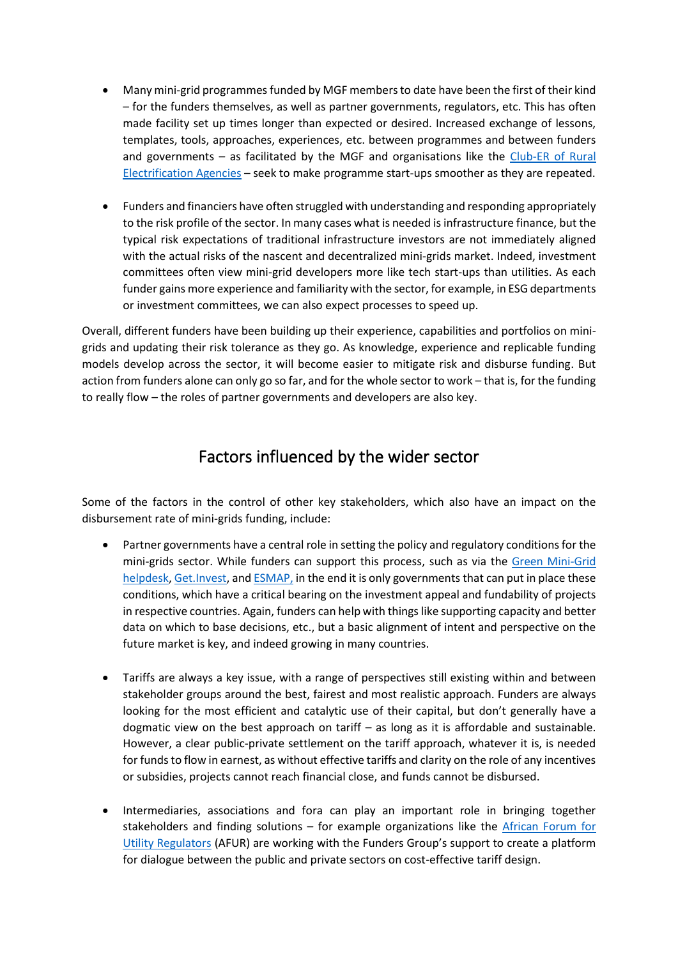- Many mini-grid programmes funded by MGF membersto date have been the first of their kind – for the funders themselves, as well as partner governments, regulators, etc. This has often made facility set up times longer than expected or desired. Increased exchange of lessons, templates, tools, approaches, experiences, etc. between programmes and between funders and governments – as facilitated by the MGF and organisations like the [Club-ER of Rural](https://www.club-er.org/home.html)  [Electrification Agencies](https://www.club-er.org/home.html) – seek to make programme start-ups smoother as they are repeated.
- Funders and financiers have often struggled with understanding and responding appropriately to the risk profile of the sector. In many cases what is needed is infrastructure finance, but the typical risk expectations of traditional infrastructure investors are not immediately aligned with the actual risks of the nascent and decentralized mini-grids market. Indeed, investment committees often view mini-grid developers more like tech start-ups than utilities. As each funder gains more experience and familiarity with the sector, for example, in ESG departments or investment committees, we can also expect processes to speed up.

Overall, different funders have been building up their experience, capabilities and portfolios on minigrids and updating their risk tolerance as they go. As knowledge, experience and replicable funding models develop across the sector, it will become easier to mitigate risk and disburse funding. But action from funders alone can only go so far, and for the whole sector to work – that is, for the funding to really flow – the roles of partner governments and developers are also key.

## Factors influenced by the wider sector

Some of the factors in the control of other key stakeholders, which also have an impact on the disbursement rate of mini-grids funding, include:

- Partner governments have a central role in setting the policy and regulatory conditions for the mini-grids sector. While funders can support this process, such as via the [Green Mini-Grid](https://greenminigrid.afdb.org/)  [helpdesk,](https://greenminigrid.afdb.org/) [Get.Invest,](https://www.get-invest.eu/) and [ESMAP,](https://www.esmap.org/) in the end it is only governments that can put in place these conditions, which have a critical bearing on the investment appeal and fundability of projects in respective countries. Again, funders can help with things like supporting capacity and better data on which to base decisions, etc., but a basic alignment of intent and perspective on the future market is key, and indeed growing in many countries.
- Tariffs are always a key issue, with a range of perspectives still existing within and between stakeholder groups around the best, fairest and most realistic approach. Funders are always looking for the most efficient and catalytic use of their capital, but don't generally have a dogmatic view on the best approach on tariff – as long as it is affordable and sustainable. However, a clear public-private settlement on the tariff approach, whatever it is, is needed for funds to flow in earnest, as without effective tariffs and clarity on the role of any incentives or subsidies, projects cannot reach financial close, and funds cannot be disbursed.
- Intermediaries, associations and fora can play an important role in bringing together stakeholders and finding solutions  $-$  for example organizations like the African Forum for [Utility Regulators](https://afurnet.org/) (AFUR) are working with the Funders Group's support to create a platform for dialogue between the public and private sectors on cost-effective tariff design.